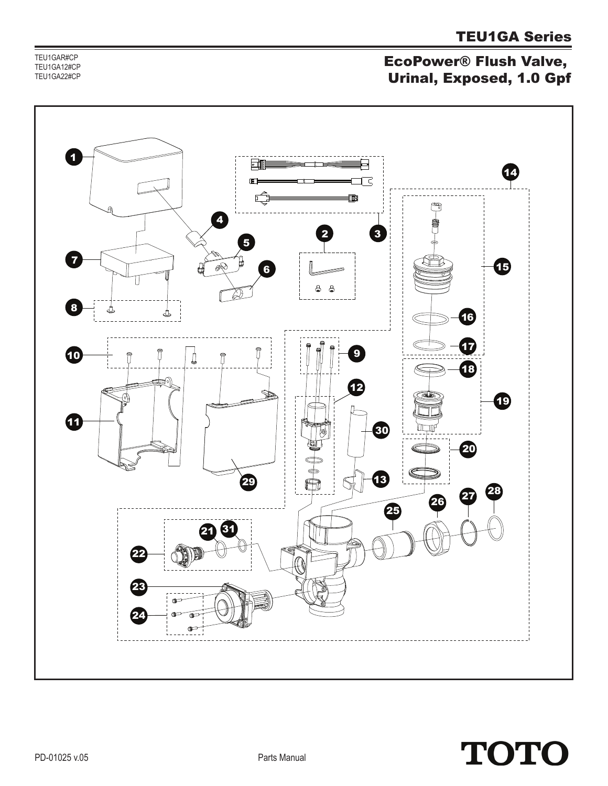TEU1GAR#CP TEU1GA12#CP TEU1GA22#CP

### EcoPower® Flush Valve, Urinal, Exposed, 1.0 Gpf



# **TOTO**